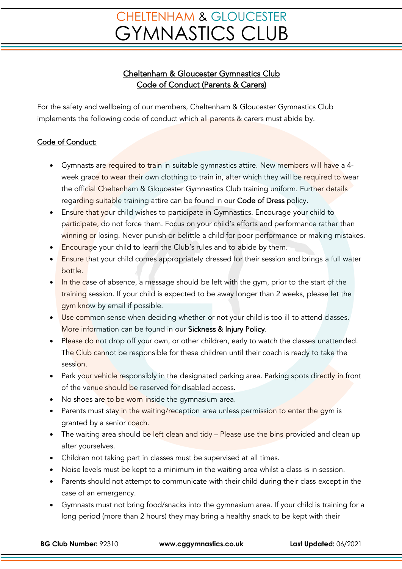## **CHELTENHAM & GLOUCESTER GYMNASTICS CLUB**

## Cheltenham & Gloucester Gymnastics Club Code of Conduct (Parents & Carers)

For the safety and wellbeing of our members, Cheltenham & Gloucester Gymnastics Club implements the following code of conduct which all parents & carers must abide by.

## Code of Conduct:

- Gymnasts are required to train in suitable gymnastics attire. New members will have a 4week grace to wear their own clothing to train in, after which they will be required to wear the official Cheltenham & Gloucester Gymnastics Club training uniform. Further details regarding suitable training attire can be found in our Code of Dress policy.
- Ensure that your child wishes to participate in Gymnastics. Encourage your child to participate, do not force them. Focus on your child's efforts and performance rather than winning or losing. Never punish or belittle a child for poor performance or making mistakes.
- Encourage your child to learn the Club's rules and to abide by them.
- Ensure that your child comes appropriately dressed for their session and brings a full water bottle.
- In the case of absence, a message should be left with the gym, prior to the start of the training session. If your child is expected to be away longer than 2 weeks, please let the gym know by email if possible.
- Use common sense when deciding whether or not your child is too ill to attend classes. More information can be found in our Sickness & Injury Policy.
- Please do not drop off your own, or other children, early to watch the classes unattended. The Club cannot be responsible for these children until their coach is ready to take the session.
- Park your vehicle responsibly in the designated parking area. Parking spots directly in front of the venue should be reserved for disabled access.
- No shoes are to be worn inside the gymnasium area.
- Parents must stay in the waiting/reception area unless permission to enter the gym is granted by a senior coach.
- The waiting area should be left clean and tidy Please use the bins provided and clean up after yourselves.
- Children not taking part in classes must be supervised at all times.
- Noise levels must be kept to a minimum in the waiting area whilst a class is in session.
- Parents should not attempt to communicate with their child during their class except in the case of an emergency.
- Gymnasts must not bring food/snacks into the gymnasium area. If your child is training for a long period (more than 2 hours) they may bring a healthy snack to be kept with their

**BG Club Number:** 92310 **www.cggymnastics.co.uk Last Updated:** 06/2021